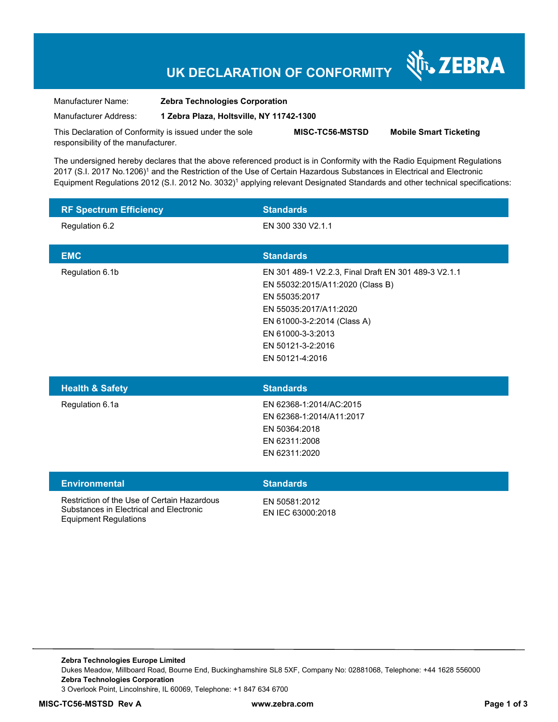## **UK DECLARATION OF CONFORMITY**

र्शे<sub>ि</sub> ZEBRA

Manufacturer Name: **Zebra Technologies Corporation** 

Manufacturer Address: **1 Zebra Plaza, Holtsville, NY 11742-1300** 

This Declaration of Conformity is issued under the sole responsibility of the manufacturer. **MISC-TC56-MSTSD Mobile Smart Ticketing** 

The undersigned hereby declares that the above referenced product is in Conformity with the Radio Equipment Regulations 2017 (S.I. 2017 No.1206)<sup>1</sup> and the Restriction of the Use of Certain Hazardous Substances in Electrical and Electronic Equipment Regulations 2012 (S.I. 2012 No. 3032)<sup>1</sup> applying relevant Designated Standards and other technical specifications:

| <b>RF Spectrum Efficiency</b>                                                                                          | <b>Standards</b>                                                                                                                                                                                                                |
|------------------------------------------------------------------------------------------------------------------------|---------------------------------------------------------------------------------------------------------------------------------------------------------------------------------------------------------------------------------|
| Regulation 6.2                                                                                                         | EN 300 330 V2.1.1                                                                                                                                                                                                               |
| <b>EMC</b>                                                                                                             | <b>Standards</b>                                                                                                                                                                                                                |
| Regulation 6.1b                                                                                                        | EN 301 489-1 V2.2.3, Final Draft EN 301 489-3 V2.1.1<br>EN 55032:2015/A11:2020 (Class B)<br>EN 55035:2017<br>EN 55035:2017/A11:2020<br>EN 61000-3-2:2014 (Class A)<br>EN 61000-3-3:2013<br>EN 50121-3-2:2016<br>EN 50121-4:2016 |
| <b>Health &amp; Safety</b>                                                                                             | <b>Standards</b>                                                                                                                                                                                                                |
| Regulation 6.1a                                                                                                        | EN 62368-1:2014/AC:2015<br>EN 62368-1:2014/A11:2017<br>EN 50364:2018<br>EN 62311:2008<br>EN 62311:2020                                                                                                                          |
| <b>Environmental</b>                                                                                                   | <b>Standards</b>                                                                                                                                                                                                                |
| Restriction of the Use of Certain Hazardous<br>Substances in Electrical and Electronic<br><b>Equipment Regulations</b> | EN 50581:2012<br>EN IEC 63000:2018                                                                                                                                                                                              |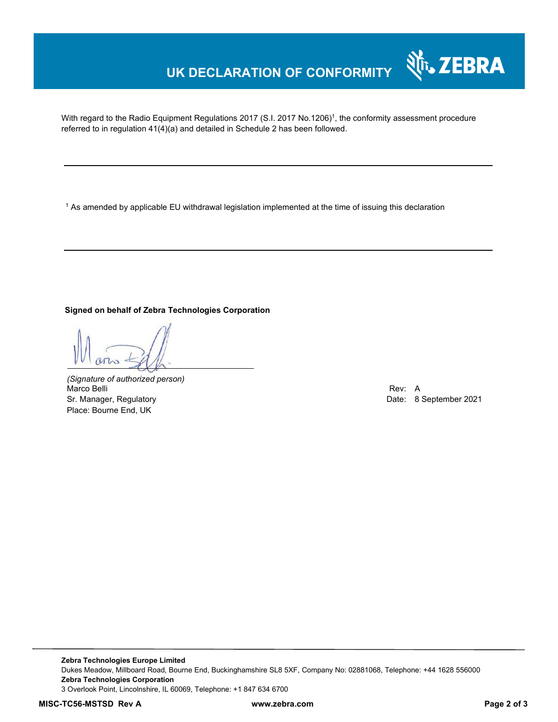## **UK DECLARATION OF CONFORMITY**

With regard to the Radio Equipment Regulations 2017 (S.I. 2017 No.1206)<sup>1</sup>, the conformity assessment procedure referred to in regulation 41(4)(a) and detailed in Schedule 2 has been followed.

 $^{\rm 1}$  As amended by applicable EU withdrawal legislation implemented at the time of issuing this declaration

**Signed on behalf of Zebra Technologies Corporation** 

*(Signature of authorized person)* Marco Belli Rev: A Sr. Manager, Regulatory **Date: 8 September 2021** Place: Bourne End, UK

र्शे<sub>ि</sub> ZEBRA